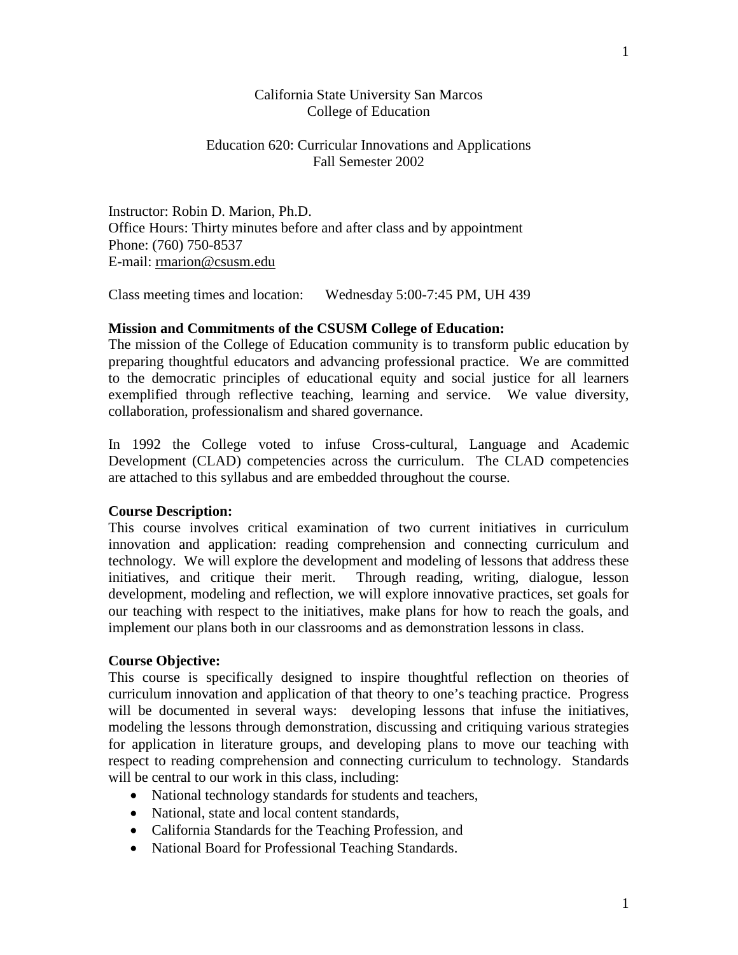## California State University San Marcos College of Education

## Education 620: Curricular Innovations and Applications Fall Semester 2002

Instructor: Robin D. Marion, Ph.D. Office Hours: Thirty minutes before and after class and by appointment Phone: (760) 750-8537 E-mail: [rmarion@csusm.edu](mailto:rmarion@csusm.edu)

Class meeting times and location: Wednesday 5:00-7:45 PM, UH 439

## **Mission and Commitments of the CSUSM College of Education:**

The mission of the College of Education community is to transform public education by preparing thoughtful educators and advancing professional practice. We are committed to the democratic principles of educational equity and social justice for all learners exemplified through reflective teaching, learning and service. We value diversity, collaboration, professionalism and shared governance.

In 1992 the College voted to infuse Cross-cultural, Language and Academic Development (CLAD) competencies across the curriculum. The CLAD competencies are attached to this syllabus and are embedded throughout the course.

## **Course Description:**

This course involves critical examination of two current initiatives in curriculum innovation and application: reading comprehension and connecting curriculum and technology. We will explore the development and modeling of lessons that address these initiatives, and critique their merit. Through reading, writing, dialogue, lesson development, modeling and reflection, we will explore innovative practices, set goals for our teaching with respect to the initiatives, make plans for how to reach the goals, and implement our plans both in our classrooms and as demonstration lessons in class.

#### **Course Objective:**

This course is specifically designed to inspire thoughtful reflection on theories of curriculum innovation and application of that theory to one's teaching practice. Progress will be documented in several ways: developing lessons that infuse the initiatives, modeling the lessons through demonstration, discussing and critiquing various strategies for application in literature groups, and developing plans to move our teaching with respect to reading comprehension and connecting curriculum to technology. Standards will be central to our work in this class, including:

- National technology standards for students and teachers,
- National, state and local content standards.
- California Standards for the Teaching Profession, and
- National Board for Professional Teaching Standards.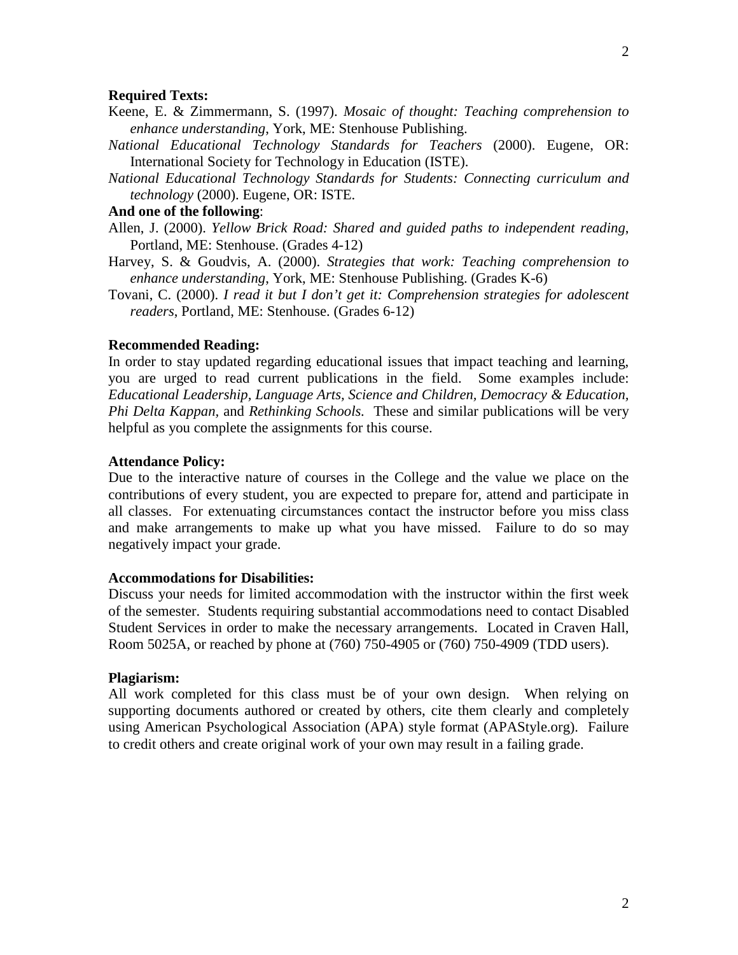#### **Required Texts:**

- Keene, E. & Zimmermann, S. (1997). *Mosaic of thought: Teaching comprehension to enhance understanding*, York, ME: Stenhouse Publishing.
- *National Educational Technology Standards for Teachers* (2000). Eugene, OR: International Society for Technology in Education (ISTE).
- *National Educational Technology Standards for Students: Connecting curriculum and technology* (2000). Eugene, OR: ISTE.

### **And one of the following**:

- Allen, J. (2000). *Yellow Brick Road: Shared and guided paths to independent reading*, Portland, ME: Stenhouse. (Grades 4-12)
- Harvey, S. & Goudvis, A. (2000). *Strategies that work: Teaching comprehension to enhance understanding*, York, ME: Stenhouse Publishing. (Grades K-6)
- Tovani, C. (2000). *I read it but I don't get it: Comprehension strategies for adolescent readers*, Portland, ME: Stenhouse. (Grades 6-12)

#### **Recommended Reading:**

In order to stay updated regarding educational issues that impact teaching and learning, you are urged to read current publications in the field. Some examples include: *Educational Leadership, Language Arts, Science and Children, Democracy & Education, Phi Delta Kappan,* and *Rethinking Schools.* These and similar publications will be very helpful as you complete the assignments for this course.

#### **Attendance Policy:**

Due to the interactive nature of courses in the College and the value we place on the contributions of every student, you are expected to prepare for, attend and participate in all classes. For extenuating circumstances contact the instructor before you miss class and make arrangements to make up what you have missed. Failure to do so may negatively impact your grade.

#### **Accommodations for Disabilities:**

Discuss your needs for limited accommodation with the instructor within the first week of the semester. Students requiring substantial accommodations need to contact Disabled Student Services in order to make the necessary arrangements. Located in Craven Hall, Room 5025A, or reached by phone at (760) 750-4905 or (760) 750-4909 (TDD users).

#### **Plagiarism:**

All work completed for this class must be of your own design. When relying on supporting documents authored or created by others, cite them clearly and completely using American Psychological Association (APA) style format (APAStyle.org). Failure to credit others and create original work of your own may result in a failing grade.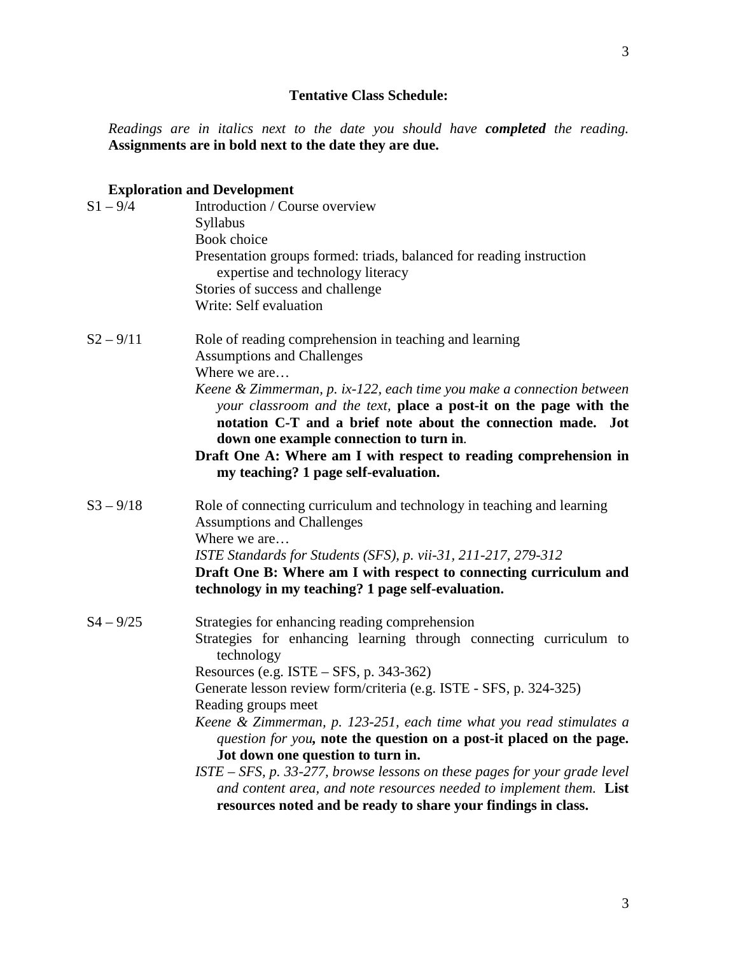# **Tentative Class Schedule:**

*Readings are in italics next to the date you should have completed the reading.*  **Assignments are in bold next to the date they are due.**

# **Exploration and Development**

| $S1 - 9/4$  | Introduction / Course overview<br>Syllabus<br>Book choice                                                                                                                                                                                             |
|-------------|-------------------------------------------------------------------------------------------------------------------------------------------------------------------------------------------------------------------------------------------------------|
|             | Presentation groups formed: triads, balanced for reading instruction<br>expertise and technology literacy                                                                                                                                             |
|             | Stories of success and challenge<br>Write: Self evaluation                                                                                                                                                                                            |
| $S2 - 9/11$ | Role of reading comprehension in teaching and learning<br><b>Assumptions and Challenges</b><br>Where we are                                                                                                                                           |
|             | Keene & Zimmerman, p. ix-122, each time you make a connection between<br>your classroom and the text, place a post-it on the page with the<br>notation C-T and a brief note about the connection made. Jot<br>down one example connection to turn in. |
|             | Draft One A: Where am I with respect to reading comprehension in<br>my teaching? 1 page self-evaluation.                                                                                                                                              |
| $S3 - 9/18$ | Role of connecting curriculum and technology in teaching and learning<br><b>Assumptions and Challenges</b>                                                                                                                                            |
|             | Where we are<br>ISTE Standards for Students (SFS), p. vii-31, 211-217, 279-312                                                                                                                                                                        |
|             | Draft One B: Where am I with respect to connecting curriculum and<br>technology in my teaching? 1 page self-evaluation.                                                                                                                               |
| $S4 - 9/25$ | Strategies for enhancing reading comprehension<br>Strategies for enhancing learning through connecting curriculum to<br>technology                                                                                                                    |
|             | Resources (e.g. $ISTE - SFS$ , p. 343-362)<br>Generate lesson review form/criteria (e.g. ISTE - SFS, p. 324-325)                                                                                                                                      |
|             | Reading groups meet                                                                                                                                                                                                                                   |
|             | Keene & Zimmerman, p. 123-251, each time what you read stimulates a<br>question for you, note the question on a post-it placed on the page.                                                                                                           |
|             | Jot down one question to turn in.                                                                                                                                                                                                                     |
|             | $ISTE - SFS$ , p. 33-277, browse lessons on these pages for your grade level<br>and content area, and note resources needed to implement them. List                                                                                                   |
|             | resources noted and be ready to share your findings in class.                                                                                                                                                                                         |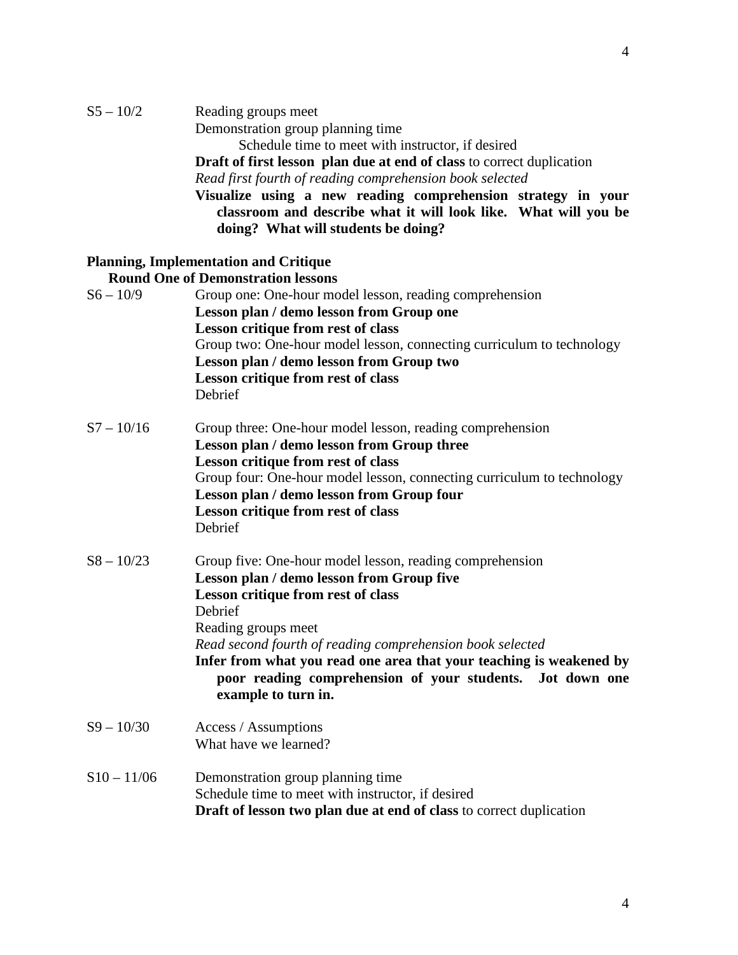|              | Demonstration group planning time                                            |
|--------------|------------------------------------------------------------------------------|
|              | Schedule time to meet with instructor, if desired                            |
|              | <b>Draft of first lesson plan due at end of class to correct duplication</b> |
|              | Read first fourth of reading comprehension book selected                     |
|              | Visualize using a new reading comprehension strategy in your                 |
|              | classroom and describe what it will look like. What will you be              |
|              | doing? What will students be doing?                                          |
|              | <b>Planning, Implementation and Critique</b>                                 |
|              | <b>Round One of Demonstration lessons</b>                                    |
| $S6 - 10/9$  | Group one: One-hour model lesson, reading comprehension                      |
|              | Lesson plan / demo lesson from Group one                                     |
|              | Lesson critique from rest of class                                           |
|              | Group two: One-hour model lesson, connecting curriculum to technology        |
|              |                                                                              |
|              | Lesson plan / demo lesson from Group two                                     |
|              | Lesson critique from rest of class                                           |
|              | Debrief                                                                      |
| $S7 - 10/16$ | Group three: One-hour model lesson, reading comprehension                    |
|              | Lesson plan / demo lesson from Group three                                   |
|              | Lesson critique from rest of class                                           |
|              | Group four: One-hour model lesson, connecting curriculum to technology       |
|              | Lesson plan / demo lesson from Group four                                    |
|              | Lesson critique from rest of class                                           |
|              |                                                                              |

Debrief

S5 – 10/2 Reading groups meet

- S8 10/23 Group five: One-hour model lesson, reading comprehension **Lesson plan / demo lesson from Group five Lesson critique from rest of class** Debrief Reading groups meet *Read second fourth of reading comprehension book selected* **Infer from what you read one area that your teaching is weakened by poor reading comprehension of your students. Jot down one example to turn in.**
- S9 10/30 Access / Assumptions What have we learned?
- $S10 11/06$  Demonstration group planning time Schedule time to meet with instructor, if desired **Draft of lesson two plan due at end of class** to correct duplication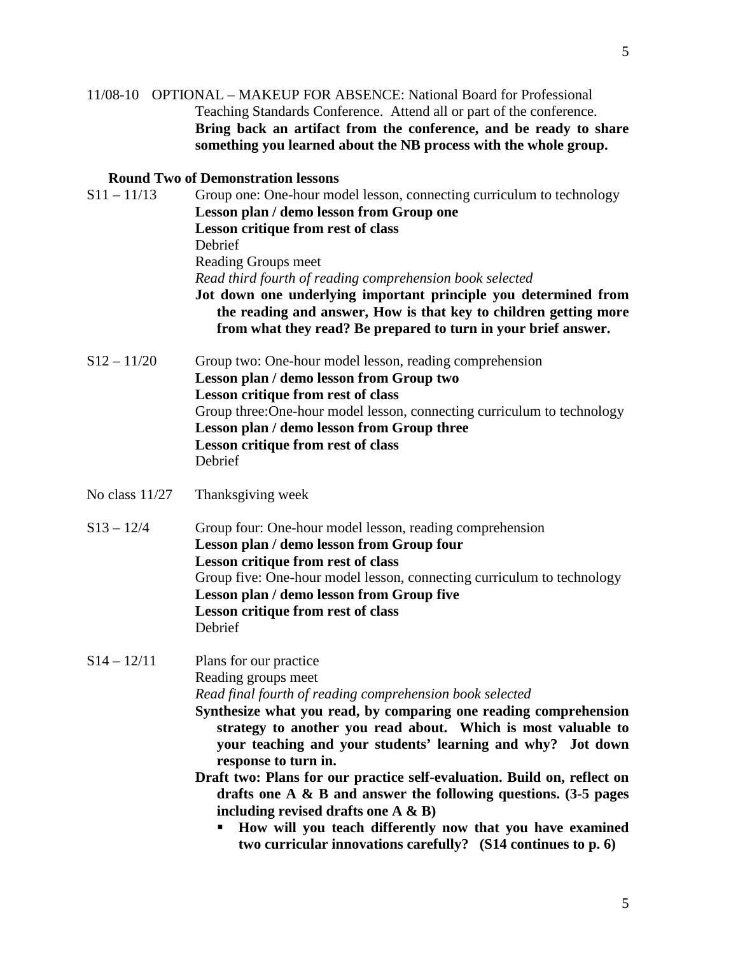## **Round Two of Demonstration lessons**

| $S11 - 11/13$    | Group one: One-hour model lesson, connecting curriculum to technology<br>Lesson plan / demo lesson from Group one<br>Lesson critique from rest of class<br>Debrief<br>Reading Groups meet<br>Read third fourth of reading comprehension book selected<br>Jot down one underlying important principle you determined from<br>the reading and answer, How is that key to children getting more<br>from what they read? Be prepared to turn in your brief answer.                                                                    |
|------------------|-----------------------------------------------------------------------------------------------------------------------------------------------------------------------------------------------------------------------------------------------------------------------------------------------------------------------------------------------------------------------------------------------------------------------------------------------------------------------------------------------------------------------------------|
| $S12 - 11/20$    | Group two: One-hour model lesson, reading comprehension<br>Lesson plan / demo lesson from Group two<br>Lesson critique from rest of class<br>Group three: One-hour model lesson, connecting curriculum to technology<br>Lesson plan / demo lesson from Group three<br>Lesson critique from rest of class<br>Debrief                                                                                                                                                                                                               |
| No class $11/27$ | Thanksgiving week                                                                                                                                                                                                                                                                                                                                                                                                                                                                                                                 |
| $S13 - 12/4$     | Group four: One-hour model lesson, reading comprehension<br>Lesson plan / demo lesson from Group four<br>Lesson critique from rest of class<br>Group five: One-hour model lesson, connecting curriculum to technology<br>Lesson plan / demo lesson from Group five<br>Lesson critique from rest of class<br>Debrief                                                                                                                                                                                                               |
| $S14 - 12/11$    | Plans for our practice<br>Reading groups meet<br>Read final fourth of reading comprehension book selected<br>Synthesize what you read, by comparing one reading comprehension<br>strategy to another you read about. Which is most valuable to<br>your teaching and your students' learning and why? Jot down<br>response to turn in.<br>Draft two: Plans for our practice self-evaluation. Build on, reflect on<br>drafts one A $\&$ B and answer the following questions. (3-5 pages<br>including revised drafts one $A \& B$ ) |

 **How will you teach differently now that you have examined two curricular innovations carefully? (S14 continues to p. 6)**